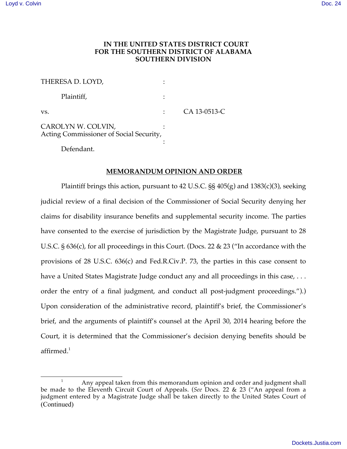# **IN THE UNITED STATES DISTRICT COURT FOR THE SOUTHERN DISTRICT OF ALABAMA SOUTHERN DIVISION**

| THERESA D. LOYD,                                              |              |
|---------------------------------------------------------------|--------------|
| Plaintiff,                                                    |              |
| VS.                                                           | CA 13-0513-C |
| CAROLYN W. COLVIN,<br>Acting Commissioner of Social Security, |              |
| Defendant.                                                    |              |

### **MEMORANDUM OPINION AND ORDER**

Plaintiff brings this action, pursuant to 42 U.S.C. §§ 405(g) and 1383(c)(3), seeking judicial review of a final decision of the Commissioner of Social Security denying her claims for disability insurance benefits and supplemental security income. The parties have consented to the exercise of jurisdiction by the Magistrate Judge, pursuant to 28 U.S.C. § 636(c), for all proceedings in this Court. (Docs. 22 & 23 ("In accordance with the provisions of 28 U.S.C. 636(c) and Fed.R.Civ.P. 73, the parties in this case consent to have a United States Magistrate Judge conduct any and all proceedings in this case, ... order the entry of a final judgment, and conduct all post-judgment proceedings.").) Upon consideration of the administrative record, plaintiff's brief, the Commissioner's brief, and the arguments of plaintiff's counsel at the April 30, 2014 hearing before the Court, it is determined that the Commissioner's decision denying benefits should be affirmed. $^{\rm 1}$ 

<sup>&</sup>lt;sup>1</sup> Any appeal taken from this memorandum opinion and order and judgment shall be made to the Eleventh Circuit Court of Appeals. (*See* Docs. 22 & 23 ("An appeal from a judgment entered by a Magistrate Judge shall be taken directly to the United States Court of (Continued)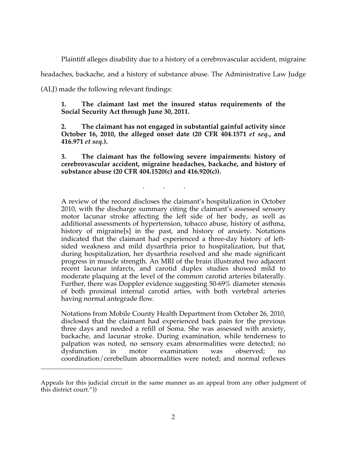Plaintiff alleges disability due to a history of a cerebrovascular accident, migraine

headaches, backache, and a history of substance abuse. The Administrative Law Judge

(ALJ) made the following relevant findings:

 $\overline{a}$ 

**1. The claimant last met the insured status requirements of the Social Security Act through June 30, 2011.**

**2. The claimant has not engaged in substantial gainful activity since October 16, 2010, the alleged onset date (20 CFR 404.1571** *et seq.***, and 416.971** *et seq.***).**

**3. The claimant has the following severe impairments: history of cerebrovascular accident, migraine headaches, backache, and history of substance abuse (20 CFR 404.1520(c) and 416.920(c)).**

. . .

A review of the record discloses the claimant's hospitalization in October 2010, with the discharge summary citing the claimant's assessed sensory motor lacunar stroke affecting the left side of her body, as well as additional assessments of hypertension, tobacco abuse, history of asthma, history of migraine<sup>[5]</sup> in the past, and history of anxiety. Notations indicated that the claimant had experienced a three-day history of leftsided weakness and mild dysarthria prior to hospitalization, but that, during hospitalization, her dysarthria resolved and she made significant progress in muscle strength. An MRI of the brain illustrated two adjacent recent lacunar infarcts, and carotid duplex studies showed mild to moderate plaquing at the level of the common carotid arteries bilaterally. Further, there was Doppler evidence suggesting 50-69% diameter stenosis of both proximal internal carotid arties, with both vertebral arteries having normal antegrade flow.

Notations from Mobile County Health Department from October 26, 2010, disclosed that the claimant had experienced back pain for the previous three days and needed a refill of Soma. She was assessed with anxiety, backache, and lacunar stroke. During examination, while tenderness to palpation was noted, no sensory exam abnormalities were detected; no dysfunction in motor examination was observed; no coordination/cerebellum abnormalities were noted; and normal reflexes

Appeals for this judicial circuit in the same manner as an appeal from any other judgment of this district court."))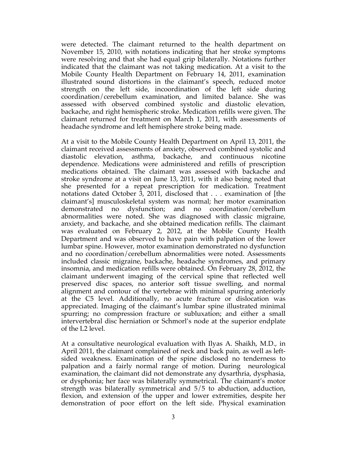were detected. The claimant returned to the health department on November 15, 2010, with notations indicating that her stroke symptoms were resolving and that she had equal grip bilaterally. Notations further indicated that the claimant was not taking medication. At a visit to the Mobile County Health Department on February 14, 2011, examination illustrated sound distortions in the claimant's speech, reduced motor strength on the left side, incoordination of the left side during coordination/cerebellum examination, and limited balance. She was assessed with observed combined systolic and diastolic elevation, backache, and right hemispheric stroke. Medication refills were given. The claimant returned for treatment on March 1, 2011, with assessments of headache syndrome and left hemisphere stroke being made.

At a visit to the Mobile County Health Department on April 13, 2011, the claimant received assessments of anxiety, observed combined systolic and diastolic elevation, asthma, backache, and continuous nicotine dependence. Medications were administered and refills of prescription medications obtained. The claimant was assessed with backache and stroke syndrome at a visit on June 13, 2011, with it also being noted that she presented for a repeat prescription for medication. Treatment notations dated October 3, 2011, disclosed that . . . examination of [the claimant's] musculoskeletal system was normal; her motor examination demonstrated no dysfunction; and no coordination/cerebellum abnormalities were noted. She was diagnosed with classic migraine, anxiety, and backache, and she obtained medication refills. The claimant was evaluated on February 2, 2012, at the Mobile County Health Department and was observed to have pain with palpation of the lower lumbar spine. However, motor examination demonstrated no dysfunction and no coordination/cerebellum abnormalities were noted. Assessments included classic migraine, backache, headache syndromes, and primary insomnia, and medication refills were obtained. On February 28, 2012, the claimant underwent imaging of the cervical spine that reflected well preserved disc spaces, no anterior soft tissue swelling, and normal alignment and contour of the vertebrae with minimal spurring anteriorly at the C5 level. Additionally, no acute fracture or dislocation was appreciated. Imaging of the claimant's lumbar spine illustrated minimal spurring; no compression fracture or subluxation; and either a small intervertebral disc herniation or Schmorl's node at the superior endplate of the L2 level.

At a consultative neurological evaluation with Ilyas A. Shaikh, M.D., in April 2011, the claimant complained of neck and back pain, as well as leftsided weakness. Examination of the spine disclosed no tenderness to palpation and a fairly normal range of motion. During neurological examination, the claimant did not demonstrate any dysarthria, dysphasia, or dysphonia; her face was bilaterally symmetrical. The claimant's motor strength was bilaterally symmetrical and 5/5 to abduction, adduction, flexion, and extension of the upper and lower extremities, despite her demonstration of poor effort on the left side. Physical examination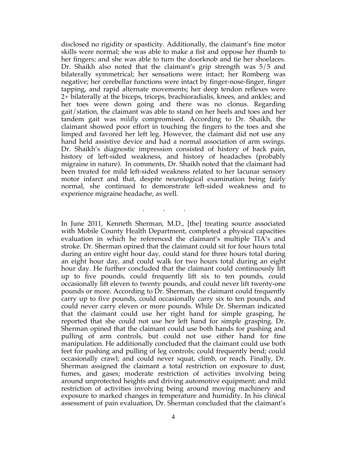disclosed no rigidity or spasticity. Additionally, the claimant's fine motor skills were normal; she was able to make a fist and oppose her thumb to her fingers; and she was able to turn the doorknob and tie her shoelaces. Dr. Shaikh also noted that the claimant's grip strength was 5/5 and bilaterally symmetrical; her sensations were intact; her Romberg was negative; her cerebellar functions were intact by finger-nose-finger, finger tapping, and rapid alternate movements; her deep tendon reflexes were 2+ bilaterally at the biceps, triceps, brachioradialis, knees, and ankles; and her toes were down going and there was no clonus. Regarding gait/station, the claimant was able to stand on her heels and toes and her tandem gait was *mildly* compromised. According to Dr. Shaikh, the claimant showed poor effort in touching the fingers to the toes and she limped and favored her left leg. However, the claimant did not use any hand held assistive device and had a normal association of arm swings. Dr. Shaikh's diagnostic impression consisted of history of back pain, history of left-sided weakness, and history of headaches (probably migraine in nature). In comments, Dr. Shaikh noted that the claimant had been treated for mild left-sided weakness related to her lacunar sensory motor infarct and that, despite neurological examination being fairly normal, she continued to demonstrate left-sided weakness and to experience migraine headache, as well.

. . .

In June 2011, Kenneth Sherman, M.D., [the] treating source associated with Mobile County Health Department, completed a physical capacities evaluation in which he referenced the claimant's multiple TIA's and stroke. Dr. Sherman opined that the claimant could sit for four hours total during an entire eight hour day, could stand for three hours total during an eight hour day, and could walk for two hours total during an eight hour day. He further concluded that the claimant could continuously lift up to five pounds, could frequently lift six to ten pounds, could occasionally lift eleven to twenty pounds, and could never lift twenty-one pounds or more. According to Dr. Sherman, the claimant could frequently carry up to five pounds, could occasionally carry six to ten pounds, and could never carry eleven or more pounds. While Dr. Sherman indicated that the claimant could use her right hand for simple grasping, he reported that she could not use her left hand for simple grasping. Dr. Sherman opined that the claimant could use both hands for pushing and pulling of arm controls, but could not use either hand for fine manipulation. He additionally concluded that the claimant could use both feet for pushing and pulling of leg controls; could frequently bend; could occasionally crawl; and could never squat, climb, or reach. Finally, Dr. Sherman assigned the claimant a total restriction on exposure to dust, fumes, and gases; moderate restriction of activities involving being around unprotected heights and driving automotive equipment; and mild restriction of activities involving being around moving machinery and exposure to marked changes in temperature and humidity. In his clinical assessment of pain evaluation, Dr. Sherman concluded that the claimant's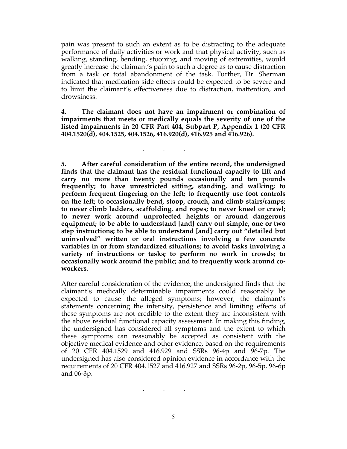pain was present to such an extent as to be distracting to the adequate performance of daily activities or work and that physical activity, such as walking, standing, bending, stooping, and moving of extremities, would greatly increase the claimant's pain to such a degree as to cause distraction from a task or total abandonment of the task. Further, Dr. Sherman indicated that medication side effects could be expected to be severe and to limit the claimant's effectiveness due to distraction, inattention, and drowsiness.

**4. The claimant does not have an impairment or combination of impairments that meets or medically equals the severity of one of the listed impairments in 20 CFR Part 404, Subpart P, Appendix 1 (20 CFR 404.1520(d), 404.1525, 404.1526, 416.920(d), 416.925 and 416.926).**

. . .

**5. After careful consideration of the entire record, the undersigned finds that the claimant has the residual functional capacity to lift and carry no more than twenty pounds occasionally and ten pounds frequently; to have unrestricted sitting, standing, and walking; to perform frequent fingering on the left; to frequently use foot controls on the left; to occasionally bend, stoop, crouch, and climb stairs/ramps; to never climb ladders, scaffolding, and ropes; to never kneel or crawl; to never work around unprotected heights or around dangerous equipment; to be able to understand [and] carry out simple, one or two step instructions; to be able to understand [and] carry out "detailed but uninvolved" written or oral instructions involving a few concrete variables in or from standardized situations; to avoid tasks involving a variety of instructions or tasks; to perform no work in crowds; to occasionally work around the public; and to frequently work around coworkers.** 

After careful consideration of the evidence, the undersigned finds that the claimant's medically determinable impairments could reasonably be expected to cause the alleged symptoms; however, the claimant's statements concerning the intensity, persistence and limiting effects of these symptoms are not credible to the extent they are inconsistent with the above residual functional capacity assessment. In making this finding, the undersigned has considered all symptoms and the extent to which these symptoms can reasonably be accepted as consistent with the objective medical evidence and other evidence, based on the requirements of 20 CFR 404.1529 and 416.929 and SSRs 96-4p and 96-7p. The undersigned has also considered opinion evidence in accordance with the requirements of 20 CFR 404.1527 and 416.927 and SSRs 96-2p, 96-5p, 96-6p and 06-3p.

. . .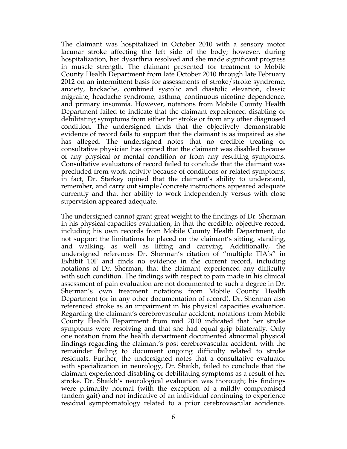The claimant was hospitalized in October 2010 with a sensory motor lacunar stroke affecting the left side of the body; however, during hospitalization, her dysarthria resolved and she made significant progress in muscle strength. The claimant presented for treatment to Mobile County Health Department from late October 2010 through late February 2012 on an intermittent basis for assessments of stroke/stroke syndrome, anxiety, backache, combined systolic and diastolic elevation, classic migraine, headache syndrome, asthma, continuous nicotine dependence, and primary insomnia. However, notations from Mobile County Health Department failed to indicate that the claimant experienced disabling or debilitating symptoms from either her stroke or from any other diagnosed condition. The undersigned finds that the objectively demonstrable evidence of record fails to support that the claimant is as impaired as she has alleged. The undersigned notes that no credible treating or consultative physician has opined that the claimant was disabled because of any physical or mental condition or from any resulting symptoms. Consultative evaluators of record failed to conclude that the claimant was precluded from work activity because of conditions or related symptoms; in fact, Dr. Starkey opined that the claimant's ability to understand, remember, and carry out simple/concrete instructions appeared adequate currently and that her ability to work independently versus with close supervision appeared adequate.

The undersigned cannot grant great weight to the findings of Dr. Sherman in his physical capacities evaluation, in that the credible, objective record, including his own records from Mobile County Health Department, do not support the limitations he placed on the claimant's sitting, standing, and walking, as well as lifting and carrying. Additionally, the undersigned references Dr. Sherman's citation of "multiple TIA's" in Exhibit 10F and finds no evidence in the current record, including notations of Dr. Sherman, that the claimant experienced any difficulty with such condition. The findings with respect to pain made in his clinical assessment of pain evaluation are not documented to such a degree in Dr. Sherman's own treatment notations from Mobile County Health Department (or in any other documentation of record). Dr. Sherman also referenced stroke as an impairment in his physical capacities evaluation. Regarding the claimant's cerebrovascular accident, notations from Mobile County Health Department from mid 2010 indicated that her stroke symptoms were resolving and that she had equal grip bilaterally. Only one notation from the health department documented abnormal physical findings regarding the claimant's post cerebrovascular accident, with the remainder failing to document ongoing difficulty related to stroke residuals. Further, the undersigned notes that a consultative evaluator with specialization in neurology, Dr. Shaikh, failed to conclude that the claimant experienced disabling or debilitating symptoms as a result of her stroke. Dr. Shaikh's neurological evaluation was thorough; his findings were primarily normal (with the exception of a mildly compromised tandem gait) and not indicative of an individual continuing to experience residual symptomatology related to a prior cerebrovascular accidence.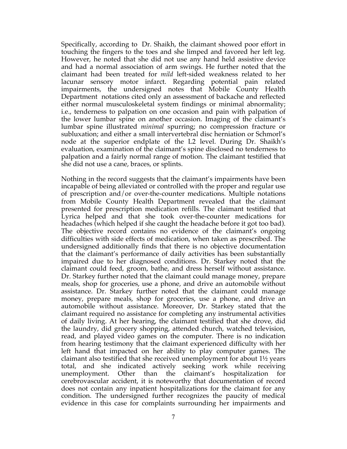Specifically, according to Dr. Shaikh, the claimant showed poor effort in touching the fingers to the toes and she limped and favored her left leg. However, he noted that she did not use any hand held assistive device and had a normal association of arm swings. He further noted that the claimant had been treated for *mild* left-sided weakness related to her lacunar sensory motor infarct. Regarding potential pain related impairments, the undersigned notes that Mobile County Health Department notations cited only an assessment of backache and reflected either normal musculoskeletal system findings or minimal abnormality; i.e., tenderness to palpation on one occasion and pain with palpation of the lower lumbar spine on another occasion. Imaging of the claimant's lumbar spine illustrated *minimal* spurring; no compression fracture or subluxation; and either a small intervertebral disc herniation or Schmorl's node at the superior endplate of the L2 level. During Dr. Shaikh's evaluation, examination of the claimant's spine disclosed no tenderness to palpation and a fairly normal range of motion. The claimant testified that she did not use a cane, braces, or splints.

Nothing in the record suggests that the claimant's impairments have been incapable of being alleviated or controlled with the proper and regular use of prescription and/or over-the-counter medications. Multiple notations from Mobile County Health Department revealed that the claimant presented for prescription medication refills. The claimant testified that Lyrica helped and that she took over-the-counter medications for headaches (which helped if she caught the headache before it got too bad). The objective record contains no evidence of the claimant's ongoing difficulties with side effects of medication, when taken as prescribed. The undersigned additionally finds that there is no objective documentation that the claimant's performance of daily activities has been substantially impaired due to her diagnosed conditions. Dr. Starkey noted that the claimant could feed, groom, bathe, and dress herself without assistance. Dr. Starkey further noted that the claimant could manage money, prepare meals, shop for groceries, use a phone, and drive an automobile without assistance. Dr. Starkey further noted that the claimant could manage money, prepare meals, shop for groceries, use a phone, and drive an automobile without assistance. Moreover, Dr. Starkey stated that the claimant required no assistance for completing any instrumental activities of daily living. At her hearing, the claimant testified that she drove, did the laundry, did grocery shopping, attended church, watched television, read, and played video games on the computer. There is no indication from hearing testimony that the claimant experienced difficulty with her left hand that impacted on her ability to play computer games. The claimant also testified that she received unemployment for about 1½ years total, and she indicated actively seeking work while receiving unemployment. Other than the claimant's hospitalization for cerebrovascular accident, it is noteworthy that documentation of record does not contain any inpatient hospitalizations for the claimant for any condition. The undersigned further recognizes the paucity of medical evidence in this case for complaints surrounding her impairments and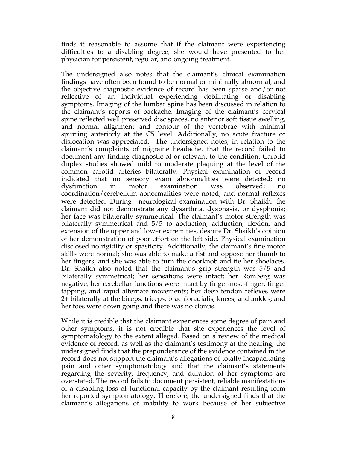finds it reasonable to assume that if the claimant were experiencing difficulties to a disabling degree, she would have presented to her physician for persistent, regular, and ongoing treatment.

The undersigned also notes that the claimant's clinical examination findings have often been found to be normal or minimally abnormal, and the objective diagnostic evidence of record has been sparse and/or not reflective of an individual experiencing debilitating or disabling symptoms. Imaging of the lumbar spine has been discussed in relation to the claimant's reports of backache. Imaging of the claimant's cervical spine reflected well preserved disc spaces, no anterior soft tissue swelling, and normal alignment and contour of the vertebrae with minimal spurring anteriorly at the C5 level. Additionally, no acute fracture or dislocation was appreciated. The undersigned notes, in relation to the claimant's complaints of migraine headache, that the record failed to document any finding diagnostic of or relevant to the condition. Carotid duplex studies showed mild to moderate plaquing at the level of the common carotid arteries bilaterally. Physical examination of record indicated that no sensory exam abnormalities were detected; no dysfunction in motor examination was observed; no coordination/cerebellum abnormalities were noted; and normal reflexes were detected. During neurological examination with Dr. Shaikh, the claimant did not demonstrate any dysarthria, dysphasia, or dysphonia; her face was bilaterally symmetrical. The claimant's motor strength was bilaterally symmetrical and 5/5 to abduction, adduction, flexion, and extension of the upper and lower extremities, despite Dr. Shaikh's opinion of her demonstration of poor effort on the left side. Physical examination disclosed no rigidity or spasticity. Additionally, the claimant's fine motor skills were normal; she was able to make a fist and oppose her thumb to her fingers; and she was able to turn the doorknob and tie her shoelaces. Dr. Shaikh also noted that the claimant's grip strength was 5/5 and bilaterally symmetrical; her sensations were intact; her Romberg was negative; her cerebellar functions were intact by finger-nose-finger, finger tapping, and rapid alternate movements; her deep tendon reflexes were 2+ bilaterally at the biceps, triceps, brachioradialis, knees, and ankles; and her toes were down going and there was no clonus.

While it is credible that the claimant experiences some degree of pain and other symptoms, it is not credible that she experiences the level of symptomatology to the extent alleged. Based on a review of the medical evidence of record, as well as the claimant's testimony at the hearing, the undersigned finds that the preponderance of the evidence contained in the record does not support the claimant's allegations of totally incapacitating pain and other symptomatology and that the claimant's statements regarding the severity, frequency, and duration of her symptoms are overstated. The record fails to document persistent, reliable manifestations of a disabling loss of functional capacity by the claimant resulting form her reported symptomatology. Therefore, the undersigned finds that the claimant's allegations of inability to work because of her subjective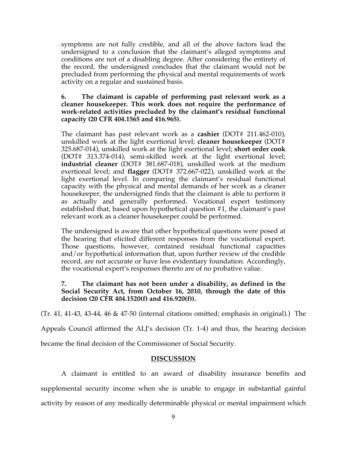symptoms are not fully credible, and all of the above factors lead the undersigned to a conclusion that the claimant's alleged symptoms and conditions are not of a disabling degree. After considering the entirety of the record, the undersigned concludes that the claimant would not be precluded from performing the physical and mental requirements of work activity on a regular and sustained basis.

# **6. The claimant is capable of performing past relevant work as a cleaner housekeeper. This work does not require the performance of work-related activities precluded by the claimant's residual functional capacity (20 CFR 404.1565 and 416.965).**

The claimant has past relevant work as a **cashier** (DOT# 211.462-010), unskilled work at the light exertional level; **cleaner housekeeper** (DOT# 325.687-014), unskilled work at the light exertional level; **short order cook**  (DOT# 313.374-014), semi-skilled work at the light exertional level; **industrial cleaner** (DOT# 381.687-018), unskilled work at the medium exertional level; and **flagger** (DOT# 372.667-022), unskilled work at the light exertional level. In comparing the claimant's residual functional capacity with the physical and mental demands of her work as a cleaner housekeeper, the undersigned finds that the claimant is able to perform it as actually and generally performed. Vocational expert testimony established that, based upon hypothetical question #1, the claimant's past relevant work as a cleaner housekeeper could be performed.

The undersigned is aware that other hypothetical questions were posed at the hearing that elicited different responses from the vocational expert. Those questions, however, contained residual functional capacities and/or hypothetical information that, upon further review of the credible record, are not accurate or have less evidentiary foundation. Accordingly, the vocational expert's responses thereto are of no probative value.

# **7. The claimant has not been under a disability, as defined in the Social Security Act, from October 16, 2010, through the date of this decision (20 CFR 404.1520(f) and 416.920(f)).**

(Tr. 41, 41-43, 43-44, 46 & 47-50 (internal citations omitted; emphasis in original).) The

Appeals Council affirmed the ALJ's decision (Tr. 1-4) and thus, the hearing decision

became the final decision of the Commissioner of Social Security.

# **DISCUSSION**

A claimant is entitled to an award of disability insurance benefits and supplemental security income when she is unable to engage in substantial gainful activity by reason of any medically determinable physical or mental impairment which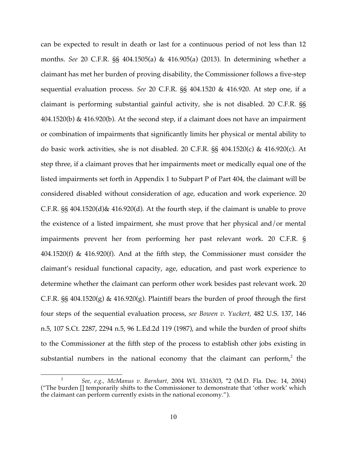can be expected to result in death or last for a continuous period of not less than 12 months. *See* 20 C.F.R. §§ 404.1505(a) & 416.905(a) (2013). In determining whether a claimant has met her burden of proving disability, the Commissioner follows a five-step sequential evaluation process. *See* 20 C.F.R. §§ 404.1520 & 416.920. At step one, if a claimant is performing substantial gainful activity, she is not disabled. 20 C.F.R. §§ 404.1520(b) & 416.920(b). At the second step, if a claimant does not have an impairment or combination of impairments that significantly limits her physical or mental ability to do basic work activities, she is not disabled. 20 C.F.R. §§ 404.1520(c) & 416.920(c). At step three, if a claimant proves that her impairments meet or medically equal one of the listed impairments set forth in Appendix 1 to Subpart P of Part 404, the claimant will be considered disabled without consideration of age, education and work experience. 20 C.F.R. §§ 404.1520(d)& 416.920(d). At the fourth step, if the claimant is unable to prove the existence of a listed impairment, she must prove that her physical and/or mental impairments prevent her from performing her past relevant work. 20 C.F.R. §  $404.1520(f)$  &  $416.920(f)$ . And at the fifth step, the Commissioner must consider the claimant's residual functional capacity, age, education, and past work experience to determine whether the claimant can perform other work besides past relevant work. 20 C.F.R.  $\S$  404.1520(g) & 416.920(g). Plaintiff bears the burden of proof through the first four steps of the sequential evaluation process, *see Bowen v. Yuckert,* 482 U.S. 137, 146 n.5, 107 S.Ct. 2287, 2294 n.5, 96 L.Ed.2d 119 (1987), and while the burden of proof shifts to the Commissioner at the fifth step of the process to establish other jobs existing in substantial numbers in the national economy that the claimant can perform, $2$  the

 $\overline{a}$ 

<sup>2</sup> *See, e.g., McManus v. Barnhart,* 2004 WL 3316303, \*2 (M.D. Fla. Dec. 14, 2004) ("The burden [] temporarily shifts to the Commissioner to demonstrate that 'other work' which the claimant can perform currently exists in the national economy.").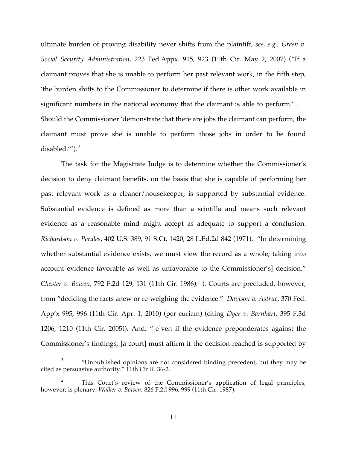ultimate burden of proving disability never shifts from the plaintiff, *see, e.g., Green v. Social Security Administration,* 223 Fed.Appx. 915, 923 (11th Cir. May 2, 2007) ("If a claimant proves that she is unable to perform her past relevant work, in the fifth step, 'the burden shifts to the Commissioner to determine if there is other work available in significant numbers in the national economy that the claimant is able to perform.'... Should the Commissioner 'demonstrate that there are jobs the claimant can perform, the claimant must prove she is unable to perform those jobs in order to be found disabled.'"). <sup>3</sup>

The task for the Magistrate Judge is to determine whether the Commissioner's decision to deny claimant benefits, on the basis that she is capable of performing her past relevant work as a cleaner/housekeeper, is supported by substantial evidence. Substantial evidence is defined as more than a scintilla and means such relevant evidence as a reasonable mind might accept as adequate to support a conclusion. *Richardson v. Perales*, 402 U.S. 389, 91 S.Ct. 1420, 28 L.Ed.2d 842 (1971). "In determining whether substantial evidence exists, we must view the record as a whole, taking into account evidence favorable as well as unfavorable to the Commissioner's] decision." *Chester v. Bowen, 792 F.2d 129, 131 (11th Cir. 1986).*<sup>4</sup> *). Courts are precluded, however,* from "deciding the facts anew or re-weighing the evidence." *Davison v. Astrue*, 370 Fed. App'x 995, 996 (11th Cir. Apr. 1, 2010) (per curiam) (citing *Dyer v. Barnhart*, 395 F.3d 1206, 1210 (11th Cir. 2005)). And, "[e]ven if the evidence preponderates against the Commissioner's findings, [a court] must affirm if the decision reached is supported by

 <sup>3</sup> "Unpublished opinions are not considered binding precedent, but they may be cited as persuasive authority." 11th Cir.R. 36-2.

This Court's review of the Commissioner's application of legal principles, however, is plenary. *Walker v. Bowen*, 826 F.2d 996, 999 (11th Cir. 1987).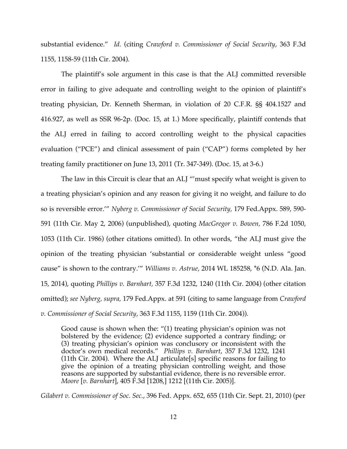substantial evidence." *Id.* (citing *Crawford v. Commissioner of Social Security*, 363 F.3d 1155, 1158-59 (11th Cir. 2004).

The plaintiff's sole argument in this case is that the ALJ committed reversible error in failing to give adequate and controlling weight to the opinion of plaintiff's treating physician, Dr. Kenneth Sherman, in violation of 20 C.F.R. §§ 404.1527 and 416.927, as well as SSR 96-2p. (Doc. 15, at 1.) More specifically, plaintiff contends that the ALJ erred in failing to accord controlling weight to the physical capacities evaluation ("PCE") and clinical assessment of pain ("CAP") forms completed by her treating family practitioner on June 13, 2011 (Tr. 347-349). (Doc. 15, at 3-6.)

The law in this Circuit is clear that an ALJ "'must specify what weight is given to a treating physician's opinion and any reason for giving it no weight, and failure to do so is reversible error.'" *Nyberg v. Commissioner of Social Security,* 179 Fed.Appx. 589, 590- 591 (11th Cir. May 2, 2006) (unpublished), quoting *MacGregor v. Bowen,* 786 F.2d 1050, 1053 (11th Cir. 1986) (other citations omitted). In other words, "the ALJ must give the opinion of the treating physician 'substantial or considerable weight unless "good cause" is shown to the contrary.'" *Williams v. Astrue,* 2014 WL 185258, \*6 (N.D. Ala. Jan. 15, 2014), quoting *Phillips v. Barnhart,* 357 F.3d 1232, 1240 (11th Cir. 2004) (other citation omitted); *see Nyberg, supra,* 179 Fed.Appx. at 591 (citing to same language from *Crawford v. Commissioner of Social Security,* 363 F.3d 1155, 1159 (11th Cir. 2004)).

Good cause is shown when the: "(1) treating physician's opinion was not bolstered by the evidence; (2) evidence supported a contrary finding; or (3) treating physician's opinion was conclusory or inconsistent with the doctor's own medical records." *Phillips v. Barnhart*, 357 F.3d 1232, 1241 (11th Cir. 2004). Where the ALJ articulate[s] specific reasons for failing to give the opinion of a treating physician controlling weight, and those reasons are supported by substantial evidence, there is no reversible error. *Moore* [*v. Barnhart*], 405 F.3d [1208,] 1212 [(11th Cir. 2005)].

*Gilabert v. Commissioner of Soc. Sec.*, 396 Fed. Appx. 652, 655 (11th Cir. Sept. 21, 2010) (per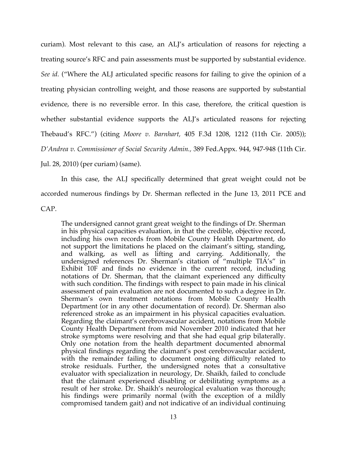curiam). Most relevant to this case, an ALJ's articulation of reasons for rejecting a treating source's RFC and pain assessments must be supported by substantial evidence. *See id.* ("Where the ALJ articulated specific reasons for failing to give the opinion of a treating physician controlling weight, and those reasons are supported by substantial evidence, there is no reversible error. In this case, therefore, the critical question is whether substantial evidence supports the ALJ's articulated reasons for rejecting Thebaud's RFC.") (citing *Moore v. Barnhart,* 405 F.3d 1208, 1212 (11th Cir. 2005)); *D'Andrea v. Commissioner of Social Security Admin.,* 389 Fed.Appx. 944, 947-948 (11th Cir. Jul. 28, 2010) (per curiam) (same).

In this case, the ALJ specifically determined that great weight could not be accorded numerous findings by Dr. Sherman reflected in the June 13, 2011 PCE and CAP.

The undersigned cannot grant great weight to the findings of Dr. Sherman in his physical capacities evaluation, in that the credible, objective record, including his own records from Mobile County Health Department, do not support the limitations he placed on the claimant's sitting, standing, and walking, as well as lifting and carrying. Additionally, the undersigned references Dr. Sherman's citation of "multiple TIA's" in Exhibit 10F and finds no evidence in the current record, including notations of Dr. Sherman, that the claimant experienced any difficulty with such condition. The findings with respect to pain made in his clinical assessment of pain evaluation are not documented to such a degree in Dr. Sherman's own treatment notations from Mobile County Health Department (or in any other documentation of record). Dr. Sherman also referenced stroke as an impairment in his physical capacities evaluation. Regarding the claimant's cerebrovascular accident, notations from Mobile County Health Department from mid November 2010 indicated that her stroke symptoms were resolving and that she had equal grip bilaterally. Only one notation from the health department documented abnormal physical findings regarding the claimant's post cerebrovascular accident, with the remainder failing to document ongoing difficulty related to stroke residuals. Further, the undersigned notes that a consultative evaluator with specialization in neurology, Dr. Shaikh, failed to conclude that the claimant experienced disabling or debilitating symptoms as a result of her stroke. Dr. Shaikh's neurological evaluation was thorough; his findings were primarily normal (with the exception of a mildly compromised tandem gait) and not indicative of an individual continuing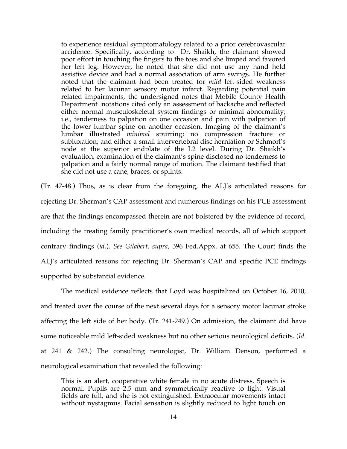to experience residual symptomatology related to a prior cerebrovascular accidence. Specifically, according to Dr. Shaikh, the claimant showed poor effort in touching the fingers to the toes and she limped and favored her left leg. However, he noted that she did not use any hand held assistive device and had a normal association of arm swings. He further noted that the claimant had been treated for *mild* left-sided weakness related to her lacunar sensory motor infarct. Regarding potential pain related impairments, the undersigned notes that Mobile County Health Department notations cited only an assessment of backache and reflected either normal musculoskeletal system findings or minimal abnormality; i.e., tenderness to palpation on one occasion and pain with palpation of the lower lumbar spine on another occasion. Imaging of the claimant's lumbar illustrated *minimal* spurring; no compression fracture or subluxation; and either a small intervertebral disc herniation or Schmorl's node at the superior endplate of the L2 level. During Dr. Shaikh's evaluation, examination of the claimant's spine disclosed no tenderness to palpation and a fairly normal range of motion. The claimant testified that she did not use a cane, braces, or splints.

(Tr. 47-48.) Thus, as is clear from the foregoing, the ALJ's articulated reasons for rejecting Dr. Sherman's CAP assessment and numerous findings on his PCE assessment are that the findings encompassed therein are not bolstered by the evidence of record, including the treating family practitioner's own medical records, all of which support contrary findings (*id.*). *See Gilabert, supra,* 396 Fed.Appx. at 655. The Court finds the ALJ's articulated reasons for rejecting Dr. Sherman's CAP and specific PCE findings supported by substantial evidence.

The medical evidence reflects that Loyd was hospitalized on October 16, 2010, and treated over the course of the next several days for a sensory motor lacunar stroke affecting the left side of her body. (Tr. 241-249.) On admission, the claimant did have some noticeable mild left-sided weakness but no other serious neurological deficits. (*Id*. at 241 & 242.) The consulting neurologist, Dr. William Denson, performed a neurological examination that revealed the following:

This is an alert, cooperative white female in no acute distress. Speech is normal. Pupils are 2.5 mm and symmetrically reactive to light. Visual fields are full, and she is not extinguished. Extraocular movements intact without nystagmus. Facial sensation is slightly reduced to light touch on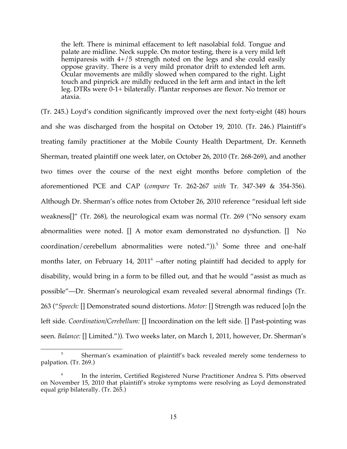the left. There is minimal effacement to left nasolabial fold. Tongue and palate are midline. Neck supple. On motor testing, there is a very mild left hemiparesis with  $4+/5$  strength noted on the legs and she could easily oppose gravity. There is a very mild pronator drift to extended left arm. Ocular movements are mildly slowed when compared to the right. Light touch and pinprick are mildly reduced in the left arm and intact in the left leg. DTRs were 0-1+ bilaterally. Plantar responses are flexor. No tremor or ataxia.

(Tr. 245.) Loyd's condition significantly improved over the next forty-eight (48) hours and she was discharged from the hospital on October 19, 2010. (Tr. 246.) Plaintiff's treating family practitioner at the Mobile County Health Department, Dr. Kenneth Sherman, treated plaintiff one week later, on October 26, 2010 (Tr. 268-269), and another two times over the course of the next eight months before completion of the aforementioned PCE and CAP (*compare* Tr. 262-267 *with* Tr. 347-349 & 354-356). Although Dr. Sherman's office notes from October 26, 2010 reference "residual left side weakness[]" (Tr. 268), the neurological exam was normal (Tr. 269 ("No sensory exam abnormalities were noted. [] A motor exam demonstrated no dysfunction. [] No coordination/cerebellum abnormalities were noted.")). <sup>5</sup> Some three and one-half months later, on February 14,  $2011^6$  --after noting plaintiff had decided to apply for disability, would bring in a form to be filled out, and that he would "assist as much as possible"—Dr. Sherman's neurological exam revealed several abnormal findings (Tr. 263 ("*Speech:* [] Demonstrated sound distortions. *Motor:* [] Strength was reduced [o]n the left side. *Coordination/Cerebellum:* [] Incoordination on the left side. [] Past-pointing was seen. *Balance:* [] Limited.")). Two weeks later, on March 1, 2011, however, Dr. Sherman's

<sup>&</sup>lt;sup>5</sup> Sherman's examination of plaintiff's back revealed merely some tenderness to palpation. (Tr. 269.)

<sup>6</sup> In the interim, Certified Registered Nurse Practitioner Andrea S. Pitts observed on November 15, 2010 that plaintiff's stroke symptoms were resolving as Loyd demonstrated equal grip bilaterally. (Tr. 265.)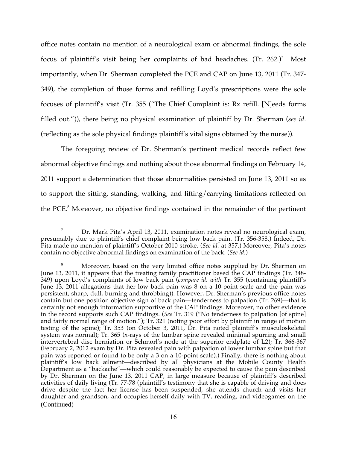office notes contain no mention of a neurological exam or abnormal findings, the sole focus of plaintiff's visit being her complaints of bad headaches.  $(Tr. 262.)^7$  Most importantly, when Dr. Sherman completed the PCE and CAP on June 13, 2011 (Tr. 347- 349), the completion of those forms and refilling Loyd's prescriptions were the sole focuses of plaintiff's visit (Tr. 355 ("The Chief Complaint is: Rx refill. [N]eeds forms filled out.")), there being no physical examination of plaintiff by Dr. Sherman (*see id*. (reflecting as the sole physical findings plaintiff's vital signs obtained by the nurse)).

The foregoing review of Dr. Sherman's pertinent medical records reflect few abnormal objective findings and nothing about those abnormal findings on February 14, 2011 support a determination that those abnormalities persisted on June 13, 2011 so as to support the sitting, standing, walking, and lifting/carrying limitations reflected on the PCE.<sup>8</sup> Moreover, no objective findings contained in the remainder of the pertinent

<sup>7</sup> Dr. Mark Pita's April 13, 2011, examination notes reveal no neurological exam, presumably due to plaintiff's chief complaint being low back pain. (Tr. 356-358.) Indeed, Dr. Pita made no mention of plaintiff's October 2010 stroke. (*See id.* at 357.) Moreover, Pita's notes contain no objective abnormal findings on examination of the back. (*See id.*)

<sup>&</sup>lt;sup>8</sup> Moreover, based on the very limited office notes supplied by Dr. Sherman on June 13, 2011, it appears that the treating family practitioner based the CAP findings (Tr. 348- 349) upon Loyd's complaints of low back pain (*compare id. with* Tr. 355 (containing plaintiff's June 13, 2011 allegations that her low back pain was 8 on a 10-point scale and the pain was persistent, sharp, dull, burning and throbbing)). However, Dr. Sherman's previous office notes contain but one position objective sign of back pain—tenderness to palpation (Tr. 269)—that is certainly not enough information supportive of the CAP findings. Moreover, no other evidence in the record supports such CAP findings. (*See* Tr. 319 ("No tenderness to palpation [of spine] and fairly normal range of motion."); Tr. 321 (noting poor effort by plaintiff in range of motion testing of the spine); Tr. 353 (on October 3, 2011, Dr. Pita noted plaintiff's musculoskeletal system was normal); Tr. 365 (x-rays of the lumbar spine revealed minimal spurring and small intervertebral disc herniation or Schmorl's node at the superior endplate of L2); Tr. 366-367 (February 2, 2012 exam by Dr. Pita revealed pain with palpation of lower lumbar spine but that pain was reported or found to be only a 3 on a 10-point scale).) Finally, there is nothing about plaintiff's low back ailment—described by all physicians at the Mobile County Health Department as a "backache"—which could reasonably be expected to cause the pain described by Dr. Sherman on the June 13, 2011 CAP, in large measure because of plaintiff's described activities of daily living (Tr. 77-78 (plaintiff's testimony that she is capable of driving and does drive despite the fact her license has been suspended, she attends church and visits her daughter and grandson, and occupies herself daily with TV, reading, and videogames on the (Continued)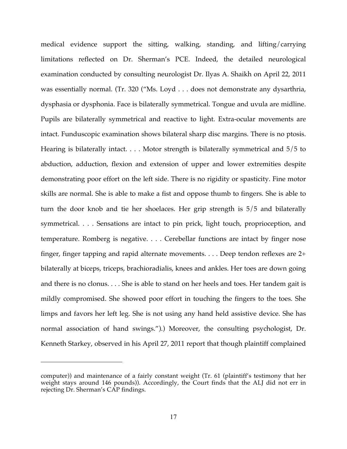medical evidence support the sitting, walking, standing, and lifting/carrying limitations reflected on Dr. Sherman's PCE. Indeed, the detailed neurological examination conducted by consulting neurologist Dr. Ilyas A. Shaikh on April 22, 2011 was essentially normal. (Tr. 320 ("Ms. Loyd . . . does not demonstrate any dysarthria, dysphasia or dysphonia. Face is bilaterally symmetrical. Tongue and uvula are midline. Pupils are bilaterally symmetrical and reactive to light. Extra-ocular movements are intact. Funduscopic examination shows bilateral sharp disc margins. There is no ptosis. Hearing is bilaterally intact. . . . Motor strength is bilaterally symmetrical and 5/5 to abduction, adduction, flexion and extension of upper and lower extremities despite demonstrating poor effort on the left side. There is no rigidity or spasticity. Fine motor skills are normal. She is able to make a fist and oppose thumb to fingers. She is able to turn the door knob and tie her shoelaces. Her grip strength is 5/5 and bilaterally symmetrical. . . . Sensations are intact to pin prick, light touch, proprioception, and temperature. Romberg is negative. . . . Cerebellar functions are intact by finger nose finger, finger tapping and rapid alternate movements. . . . Deep tendon reflexes are 2+ bilaterally at biceps, triceps, brachioradialis, knees and ankles. Her toes are down going and there is no clonus. . . . She is able to stand on her heels and toes. Her tandem gait is mildly compromised. She showed poor effort in touching the fingers to the toes. She limps and favors her left leg. She is not using any hand held assistive device. She has normal association of hand swings.").) Moreover, the consulting psychologist, Dr. Kenneth Starkey, observed in his April 27, 2011 report that though plaintiff complained

 $\overline{a}$ 

computer)) and maintenance of a fairly constant weight (Tr. 61 (plaintiff's testimony that her weight stays around 146 pounds)). Accordingly, the Court finds that the ALJ did not err in rejecting Dr. Sherman's CAP findings.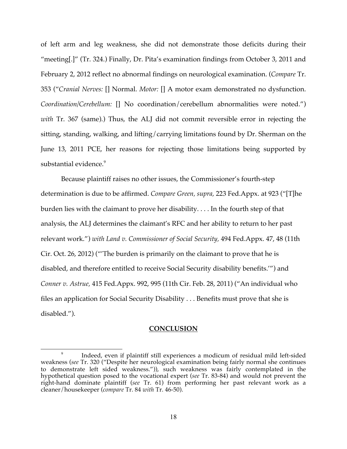of left arm and leg weakness, she did not demonstrate those deficits during their "meeting[.]" (Tr. 324.) Finally, Dr. Pita's examination findings from October 3, 2011 and February 2, 2012 reflect no abnormal findings on neurological examination. (*Compare* Tr. 353 ("*Cranial Nerves:* [] Normal. *Motor:* [] A motor exam demonstrated no dysfunction. *Coordination/Cerebellum:* [] No coordination/cerebellum abnormalities were noted.") *with* Tr. 367 (same).) Thus, the ALJ did not commit reversible error in rejecting the sitting, standing, walking, and lifting/carrying limitations found by Dr. Sherman on the June 13, 2011 PCE, her reasons for rejecting those limitations being supported by substantial evidence.<sup>9</sup>

Because plaintiff raises no other issues, the Commissioner's fourth-step determination is due to be affirmed. *Compare Green, supra,* 223 Fed.Appx. at 923 ("[T]he burden lies with the claimant to prove her disability. . . . In the fourth step of that analysis, the ALJ determines the claimant's RFC and her ability to return to her past relevant work.") *with Land v. Commissioner of Social Security,* 494 Fed.Appx. 47, 48 (11th Cir. Oct. 26, 2012) ("'The burden is primarily on the claimant to prove that he is disabled, and therefore entitled to receive Social Security disability benefits.'") and *Conner v. Astrue,* 415 Fed.Appx. 992, 995 (11th Cir. Feb. 28, 2011) ("An individual who files an application for Social Security Disability . . . Benefits must prove that she is disabled.").

#### **CONCLUSION**

 $\overline{a}$ 

<sup>&</sup>lt;sup>9</sup> Indeed, even if plaintiff still experiences a modicum of residual mild left-sided weakness (*see* Tr. 320 ("Despite her neurological examination being fairly normal she continues to demonstrate left sided weakness.")), such weakness was fairly contemplated in the hypothetical question posed to the vocational expert (*see* Tr. 83-84) and would not prevent the right-hand dominate plaintiff (*see* Tr. 61) from performing her past relevant work as a cleaner/housekeeper (*compare* Tr. 84 *with* Tr. 46-50).